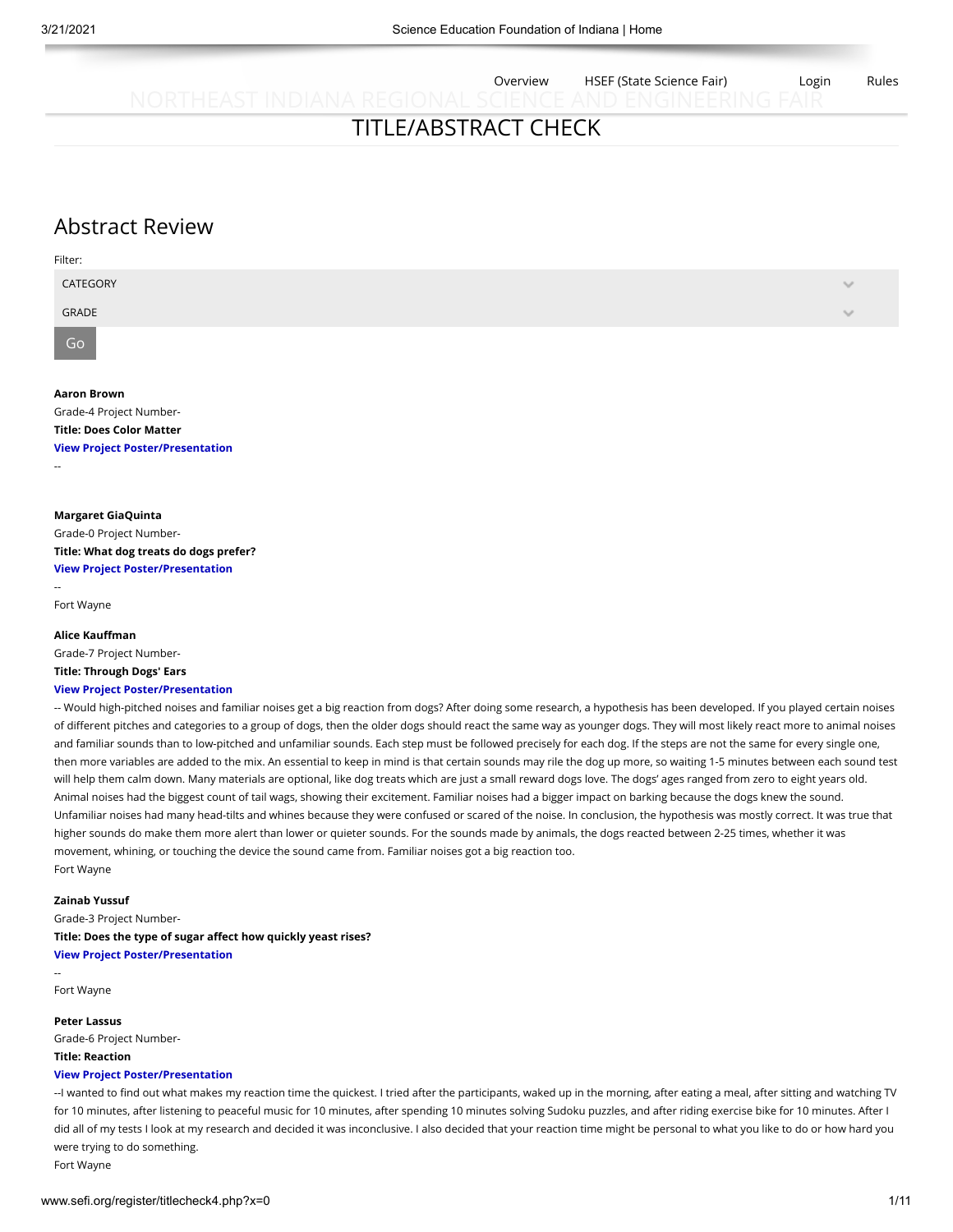Overview HSEF (State Science Fair) Login Rules

# TITLE/ABSTRACT CHECK

# Abstract Review

| Filter:  |        |
|----------|--------|
| CATEGORY | $\sim$ |
| GRADE    | $\sim$ |
|          |        |

Go

#### **Aaron Brown**

Grade-4 Project Number-**Title: Does Color Matter**

**[View Project Poster/Presentation](https://thecn.com/ab2583)** --

**Margaret GiaQuinta**

Grade-0 Project Number-**Title: What dog treats do dogs prefer? [View Project Poster/Presentation](https://thecn.com/mg1410)**

-- Fort Wayne

#### **Alice Kauffman**

Grade-7 Project Number-**Title: Through Dogs' Ears**

#### **[View Project Poster/Presentation](https://thecn.com/ak1776)**

-- Would high-pitched noises and familiar noises get a big reaction from dogs? After doing some research, a hypothesis has been developed. If you played certain noises of different pitches and categories to a group of dogs, then the older dogs should react the same way as younger dogs. They will most likely react more to animal noises and familiar sounds than to low-pitched and unfamiliar sounds. Each step must be followed precisely for each dog. If the steps are not the same for every single one, then more variables are added to the mix. An essential to keep in mind is that certain sounds may rile the dog up more, so waiting 1-5 minutes between each sound test will help them calm down. Many materials are optional, like dog treats which are just a small reward dogs love. The dogs' ages ranged from zero to eight years old. Animal noises had the biggest count of tail wags, showing their excitement. Familiar noises had a bigger impact on barking because the dogs knew the sound. Unfamiliar noises had many head-tilts and whines because they were confused or scared of the noise. In conclusion, the hypothesis was mostly correct. It was true that higher sounds do make them more alert than lower or quieter sounds. For the sounds made by animals, the dogs reacted between 2-25 times, whether it was movement, whining, or touching the device the sound came from. Familiar noises got a big reaction too. Fort Wayne

### **Zainab Yussuf**

Grade-3 Project Number-**Title: Does the type of sugar affect how quickly yeast rises? [View Project Poster/Presentation](https://thecn.com/zy194)**

Fort Wayne

--

#### **Peter Lassus**

Grade-6 Project Number-**Title: Reaction**

## **[View Project Poster/Presentation](https://thecn.com/pl588)**

--I wanted to find out what makes my reaction time the quickest. I tried after the participants, waked up in the morning, after eating a meal, after sitting and watching TV for 10 minutes, after listening to peaceful music for 10 minutes, after spending 10 minutes solving Sudoku puzzles, and after riding exercise bike for 10 minutes. After I did all of my tests I look at my research and decided it was inconclusive. I also decided that your reaction time might be personal to what you like to do or how hard you were trying to do something.

Fort Wayne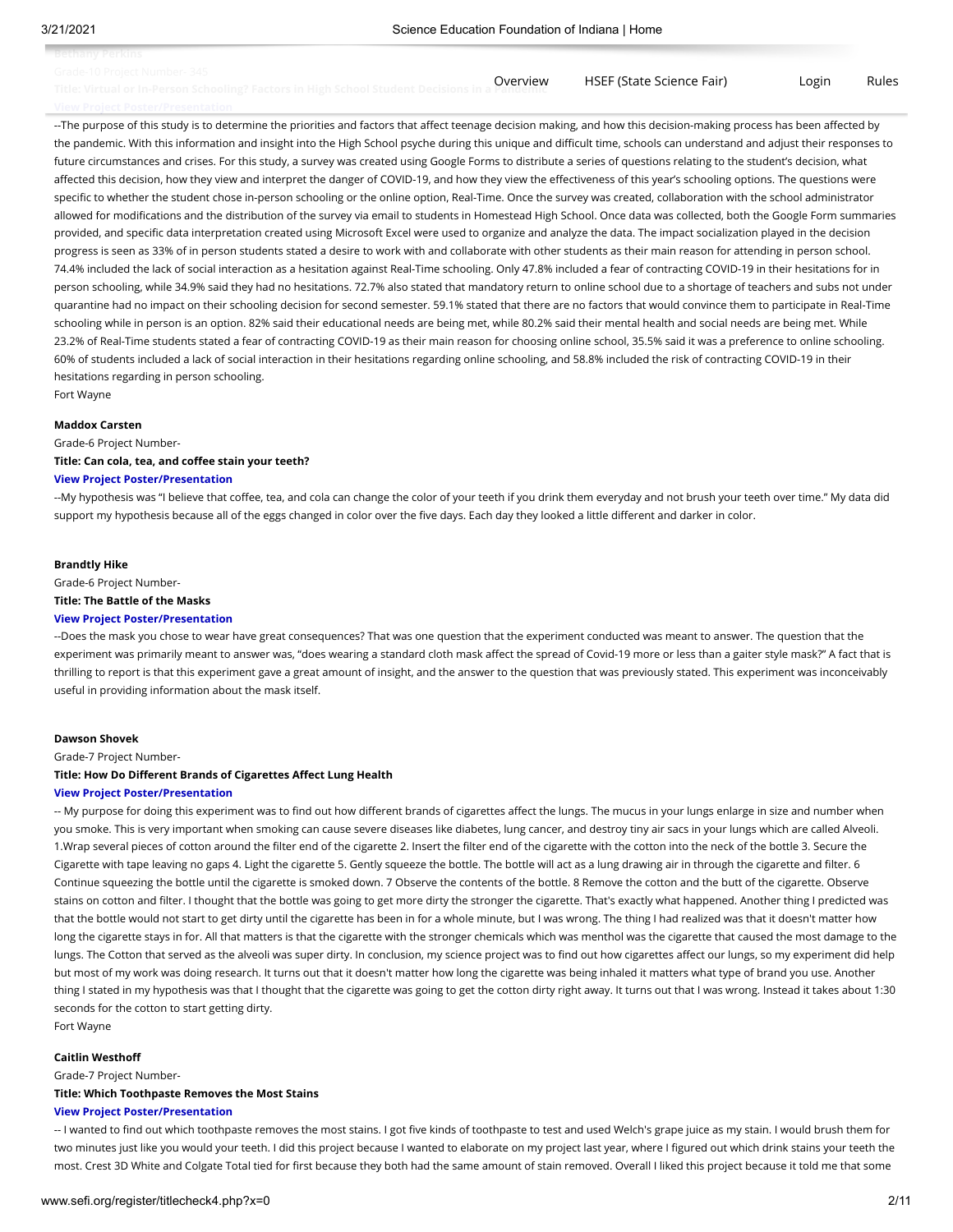**Bethany Perkins**

Overview [HSEF \(State Science Fair\)](http://sefi.org/hsef) Login Rules

--The purpose of this study is to determine the priorities and factors that affect teenage decision making, and how this decision-making process has been affected by the pandemic. With this information and insight into the High School psyche during this unique and difficult time, schools can understand and adjust their responses to future circumstances and crises. For this study, a survey was created using Google Forms to distribute a series of questions relating to the student's decision, what affected this decision, how they view and interpret the danger of COVID-19, and how they view the effectiveness of this year's schooling options. The questions were specific to whether the student chose in-person schooling or the online option, Real-Time. Once the survey was created, collaboration with the school administrator allowed for modifications and the distribution of the survey via email to students in Homestead High School. Once data was collected, both the Google Form summaries provided, and specific data interpretation created using Microsoft Excel were used to organize and analyze the data. The impact socialization played in the decision progress is seen as 33% of in person students stated a desire to work with and collaborate with other students as their main reason for attending in person school. 74.4% included the lack of social interaction as a hesitation against Real-Time schooling. Only 47.8% included a fear of contracting COVID-19 in their hesitations for in person schooling, while 34.9% said they had no hesitations. 72.7% also stated that mandatory return to online school due to a shortage of teachers and subs not under quarantine had no impact on their schooling decision for second semester. 59.1% stated that there are no factors that would convince them to participate in Real-Time schooling while in person is an option. 82% said their educational needs are being met, while 80.2% said their mental health and social needs are being met. While 23.2% of Real-Time students stated a fear of contracting COVID-19 as their main reason for choosing online school, 35.5% said it was a preference to online schooling. 60% of students included a lack of social interaction in their hesitations regarding online schooling, and 58.8% included the risk of contracting COVID-19 in their hesitations regarding in person schooling.

Fort Wayne

#### **Maddox Carsten**

Grade-6 Project Number-

### **Title: Can cola, tea, and coffee stain your teeth?**

### **[View Project Poster/Presentation](https://thecn.com/mc1907)**

--My hypothesis was "I believe that coffee, tea, and cola can change the color of your teeth if you drink them everyday and not brush your teeth over time." My data did support my hypothesis because all of the eggs changed in color over the five days. Each day they looked a little different and darker in color.

#### **Brandtly Hike**

#### Grade-6 Project Number-

**Title: The Battle of the Masks**

#### **[View Project Poster/Presentation](https://thecn.com/bh732)**

--Does the mask you chose to wear have great consequences? That was one question that the experiment conducted was meant to answer. The question that the experiment was primarily meant to answer was, "does wearing a standard cloth mask affect the spread of Covid-19 more or less than a gaiter style mask?" A fact that is thrilling to report is that this experiment gave a great amount of insight, and the answer to the question that was previously stated. This experiment was inconceivably useful in providing information about the mask itself.

#### **Dawson Shovek**

Grade-7 Project Number-

#### **Title: How Do Different Brands of Cigarettes Affect Lung Health**

#### **[View Project Poster/Presentation](https://thecn.com/ds1376)**

-- My purpose for doing this experiment was to find out how different brands of cigarettes affect the lungs. The mucus in your lungs enlarge in size and number when you smoke. This is very important when smoking can cause severe diseases like diabetes, lung cancer, and destroy tiny air sacs in your lungs which are called Alveoli. 1.Wrap several pieces of cotton around the filter end of the cigarette 2. Insert the filter end of the cigarette with the cotton into the neck of the bottle 3. Secure the Cigarette with tape leaving no gaps 4. Light the cigarette 5. Gently squeeze the bottle. The bottle will act as a lung drawing air in through the cigarette and filter. 6 Continue squeezing the bottle until the cigarette is smoked down. 7 Observe the contents of the bottle. 8 Remove the cotton and the butt of the cigarette. Observe stains on cotton and filter. I thought that the bottle was going to get more dirty the stronger the cigarette. That's exactly what happened. Another thing I predicted was that the bottle would not start to get dirty until the cigarette has been in for a whole minute, but I was wrong. The thing I had realized was that it doesn't matter how long the cigarette stays in for. All that matters is that the cigarette with the stronger chemicals which was menthol was the cigarette that caused the most damage to the lungs. The Cotton that served as the alveoli was super dirty. In conclusion, my science project was to find out how cigarettes affect our lungs, so my experiment did help but most of my work was doing research. It turns out that it doesn't matter how long the cigarette was being inhaled it matters what type of brand you use. Another thing I stated in my hypothesis was that I thought that the cigarette was going to get the cotton dirty right away. It turns out that I was wrong. Instead it takes about 1:30 seconds for the cotton to start getting dirty.

Fort Wayne

#### **Caitlin Westhoff**

Grade-7 Project Number-

### **Title: Which Toothpaste Removes the Most Stains**

#### **[View Project Poster/Presentation](https://thecn.com/cw1191)**

-- I wanted to find out which toothpaste removes the most stains. I got five kinds of toothpaste to test and used Welch's grape juice as my stain. I would brush them for two minutes just like you would your teeth. I did this project because I wanted to elaborate on my project last year, where I figured out which drink stains your teeth the most. Crest 3D White and Colgate Total tied for first because they both had the same amount of stain removed. Overall I liked this project because it told me that some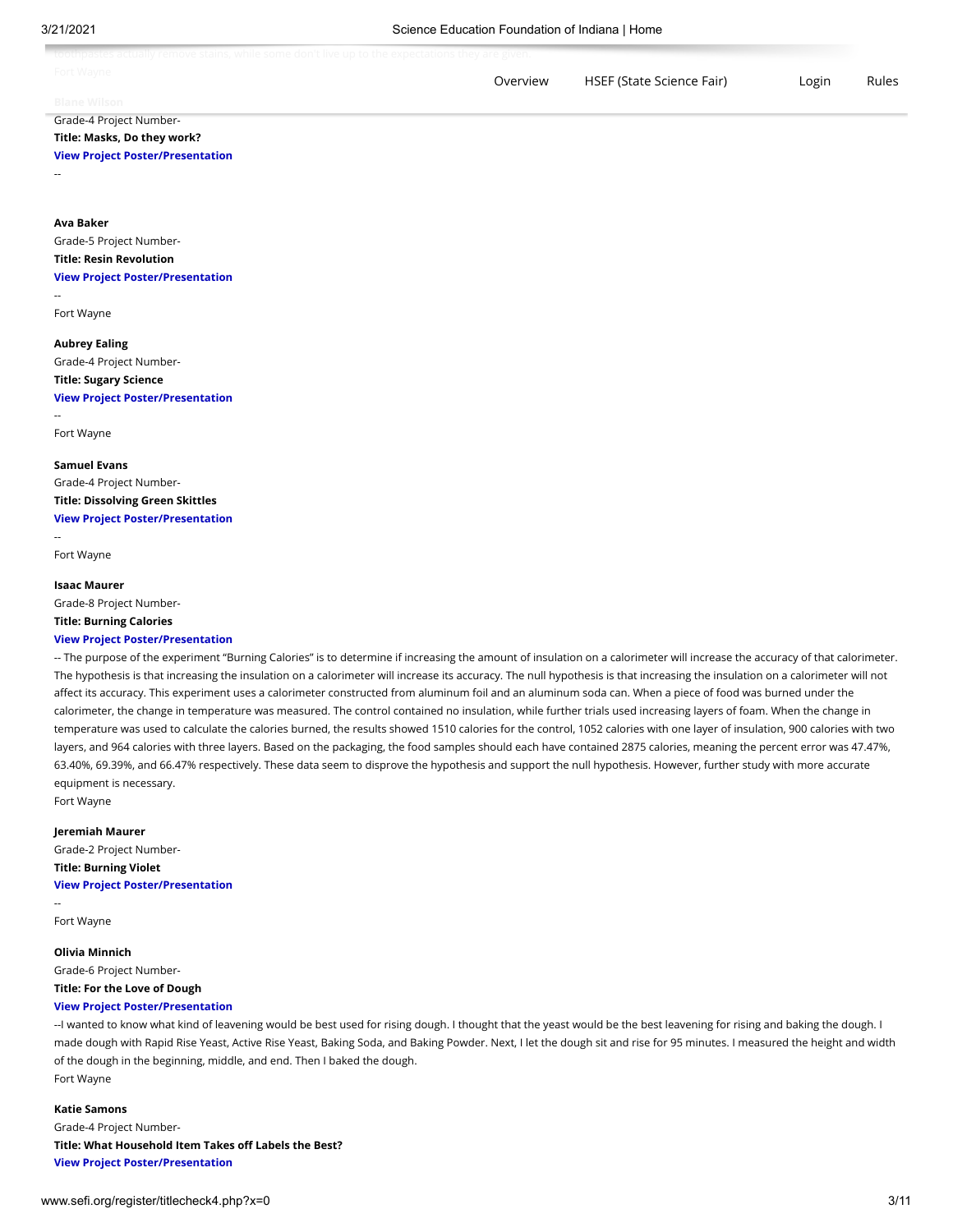| Fort Wavne          | Overview | HSEF (State Science Fair) | Login | Rules |
|---------------------|----------|---------------------------|-------|-------|
| <b>Blane Wilson</b> |          |                           |       |       |

## Grade-4 Project Number-**Title: Masks, Do they work?**

## **[View Project Poster/Presentation](https://thecn.com/bw633)**

--

## **Ava Baker**

Grade-5 Project Number-**Title: Resin Revolution**

### **[View Project Poster/Presentation](https://thecn.com/ab2585)**

--

Fort Wayne

## **Aubrey Ealing**

Grade-4 Project Number-

## **Title: Sugary Science**

**[View Project Poster/Presentation](https://thecn.com/ae635)**

-- Fort Wayne

## **Samuel Evans** Grade-4 Project Number-**Title: Dissolving Green Skittles [View Project Poster/Presentation](https://thecn.com/se547)**

Fort Wayne

--

#### **Isaac Maurer**

Grade-8 Project Number-

## **Title: Burning Calories**

#### **[View Project Poster/Presentation](https://thecn.com/im402)**

-- The purpose of the experiment "Burning Calories" is to determine if increasing the amount of insulation on a calorimeter will increase the accuracy of that calorimeter. The hypothesis is that increasing the insulation on a calorimeter will increase its accuracy. The null hypothesis is that increasing the insulation on a calorimeter will not affect its accuracy. This experiment uses a calorimeter constructed from aluminum foil and an aluminum soda can. When a piece of food was burned under the calorimeter, the change in temperature was measured. The control contained no insulation, while further trials used increasing layers of foam. When the change in temperature was used to calculate the calories burned, the results showed 1510 calories for the control, 1052 calories with one layer of insulation, 900 calories with two layers, and 964 calories with three layers. Based on the packaging, the food samples should each have contained 2875 calories, meaning the percent error was 47.47%, 63.40%, 69.39%, and 66.47% respectively. These data seem to disprove the hypothesis and support the null hypothesis. However, further study with more accurate equipment is necessary.

Fort Wayne

#### **Jeremiah Maurer**

Grade-2 Project Number-**Title: Burning Violet [View Project Poster/Presentation](https://thecn.com/jm2007)**

-- Fort Wayne

**Olivia Minnich** Grade-6 Project Number-**Title: For the Love of Dough**

## **[View Project Poster/Presentation](https://thecn.com/om222)**

--I wanted to know what kind of leavening would be best used for rising dough. I thought that the yeast would be the best leavening for rising and baking the dough. I made dough with Rapid Rise Yeast, Active Rise Yeast, Baking Soda, and Baking Powder. Next, I let the dough sit and rise for 95 minutes. I measured the height and width of the dough in the beginning, middle, and end. Then I baked the dough. Fort Wayne

## **Katie Samons** Grade-4 Project Number-**Title: What Household Item Takes off Labels the Best? [View Project Poster/Presentation](https://thecn.com/ks2322)**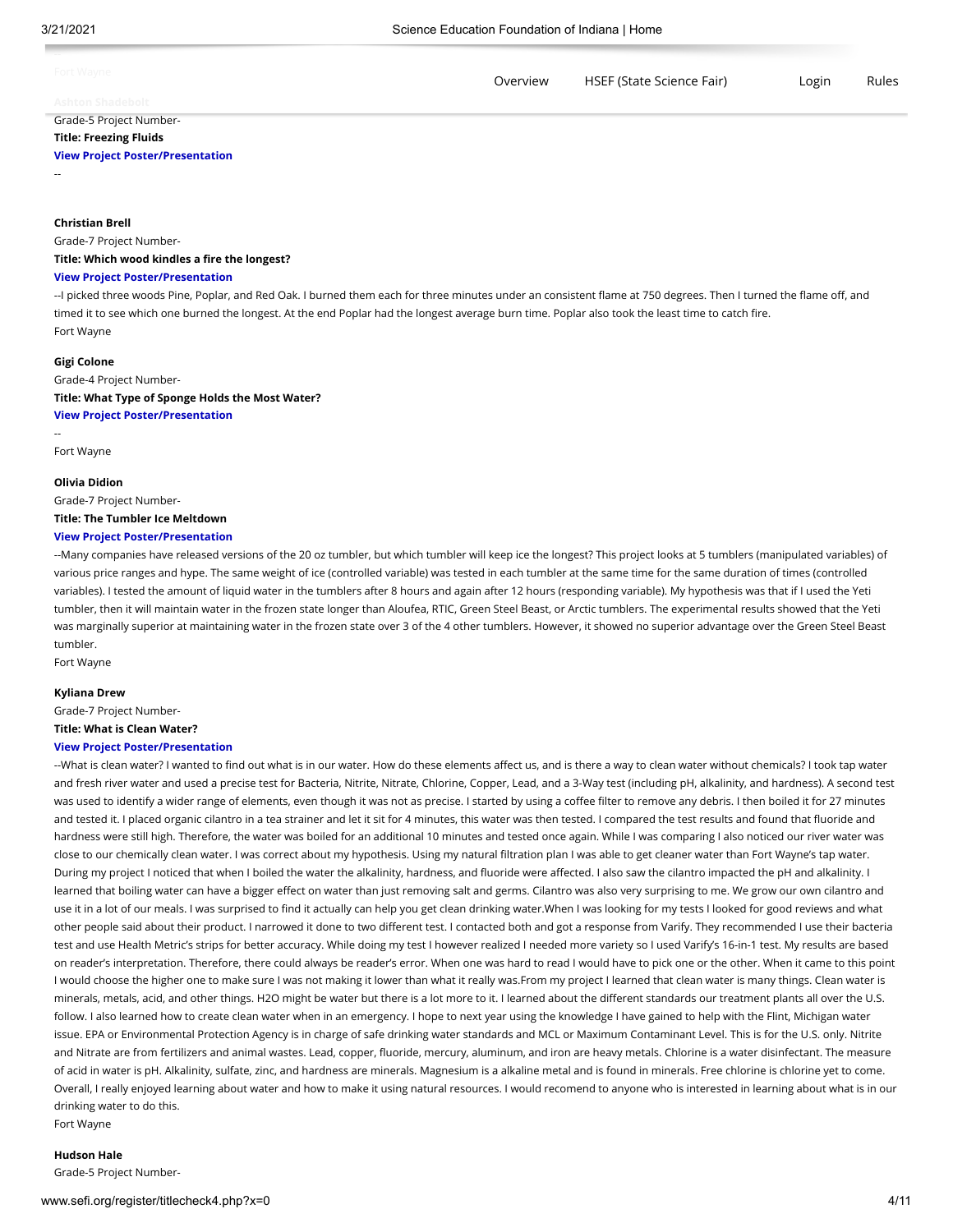| Fort Wayne              | Overview | HSEF (State Science Fair) | Login | Rules |
|-------------------------|----------|---------------------------|-------|-------|
| <b>Ashton Shadebolt</b> |          |                           |       |       |
| Grade-5 Project Number- |          |                           |       |       |

## **Title: Freezing Fluids**

### **[View Project Poster/Presentation](https://thecn.com/as3948)**

--

## **Christian Brell**

Grade-7 Project Number-

#### **Title: Which wood kindles a fire the longest?**

#### **[View Project Poster/Presentation](https://thecn.com/cb1644)**

--I picked three woods Pine, Poplar, and Red Oak. I burned them each for three minutes under an consistent flame at 750 degrees. Then I turned the flame off, and timed it to see which one burned the longest. At the end Poplar had the longest average burn time. Poplar also took the least time to catch fire. Fort Wayne

#### **Gigi Colone**

Grade-4 Project Number-**Title: What Type of Sponge Holds the Most Water? [View Project Poster/Presentation](https://thecn.com/gc443)**

Fort Wayne

--

## **Olivia Didion** Grade-7 Project Number-

**Title: The Tumbler Ice Meltdown**

#### **[View Project Poster/Presentation](https://thecn.com/od109)**

--Many companies have released versions of the 20 oz tumbler, but which tumbler will keep ice the longest? This project looks at 5 tumblers (manipulated variables) of various price ranges and hype. The same weight of ice (controlled variable) was tested in each tumbler at the same time for the same duration of times (controlled variables). I tested the amount of liquid water in the tumblers after 8 hours and again after 12 hours (responding variable). My hypothesis was that if I used the Yeti tumbler, then it will maintain water in the frozen state longer than Aloufea, RTIC, Green Steel Beast, or Arctic tumblers. The experimental results showed that the Yeti was marginally superior at maintaining water in the frozen state over 3 of the 4 other tumblers. However, it showed no superior advantage over the Green Steel Beast tumbler.

Fort Wayne

#### **Kyliana Drew**

Grade-7 Project Number-

## **Title: What is Clean Water?**

#### **[View Project Poster/Presentation](https://thecn.com/kd882)**

--What is clean water? I wanted to find out what is in our water. How do these elements affect us, and is there a way to clean water without chemicals? I took tap water and fresh river water and used a precise test for Bacteria, Nitrite, Nitrate, Chlorine, Copper, Lead, and a 3-Way test (including pH, alkalinity, and hardness). A second test was used to identify a wider range of elements, even though it was not as precise. I started by using a coffee filter to remove any debris. I then boiled it for 27 minutes and tested it. I placed organic cilantro in a tea strainer and let it sit for 4 minutes, this water was then tested. I compared the test results and found that fluoride and hardness were still high. Therefore, the water was boiled for an additional 10 minutes and tested once again. While I was comparing I also noticed our river water was close to our chemically clean water. I was correct about my hypothesis. Using my natural filtration plan I was able to get cleaner water than Fort Wayne's tap water. During my project I noticed that when I boiled the water the alkalinity, hardness, and fluoride were affected. I also saw the cilantro impacted the pH and alkalinity. I learned that boiling water can have a bigger effect on water than just removing salt and germs. Cilantro was also very surprising to me. We grow our own cilantro and use it in a lot of our meals. I was surprised to find it actually can help you get clean drinking water.When I was looking for my tests I looked for good reviews and what other people said about their product. I narrowed it done to two different test. I contacted both and got a response from Varify. They recommended I use their bacteria test and use Health Metric's strips for better accuracy. While doing my test I however realized I needed more variety so I used Varify's 16-in-1 test. My results are based on reader's interpretation. Therefore, there could always be reader's error. When one was hard to read I would have to pick one or the other. When it came to this point I would choose the higher one to make sure I was not making it lower than what it really was.From my project I learned that clean water is many things. Clean water is minerals, metals, acid, and other things. H2O might be water but there is a lot more to it. I learned about the different standards our treatment plants all over the U.S. follow. I also learned how to create clean water when in an emergency. I hope to next year using the knowledge I have gained to help with the Flint, Michigan water issue. EPA or Environmental Protection Agency is in charge of safe drinking water standards and MCL or Maximum Contaminant Level. This is for the U.S. only. Nitrite and Nitrate are from fertilizers and animal wastes. Lead, copper, fluoride, mercury, aluminum, and iron are heavy metals. Chlorine is a water disinfectant. The measure of acid in water is pH. Alkalinity, sulfate, zinc, and hardness are minerals. Magnesium is a alkaline metal and is found in minerals. Free chlorine is chlorine yet to come. Overall, I really enjoyed learning about water and how to make it using natural resources. I would recomend to anyone who is interested in learning about what is in our drinking water to do this.

Fort Wayne

#### **Hudson Hale**

Grade-5 Project Number-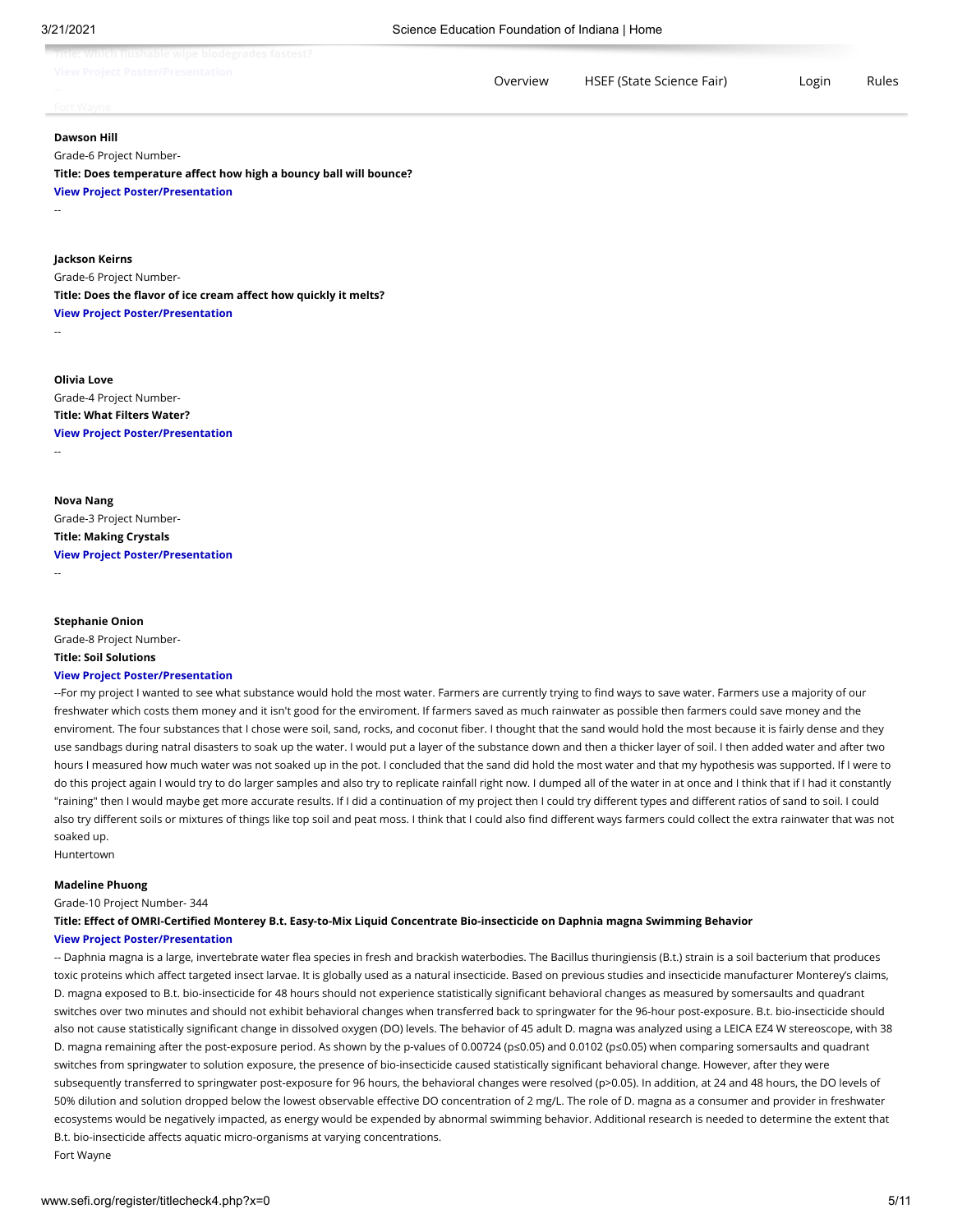| via a la las serras a la izvalación al azo diazón alia<br>TILIC, WIIILII IIUSIIGNIC WINC NIUUCAIGUCS IGSLCSL;<br>View Busiach Bookey (Buscaphatian<br>VICW FIURCLE FUSICIZE I CSCHLOUDLE |          |                           |       |       |
|------------------------------------------------------------------------------------------------------------------------------------------------------------------------------------------|----------|---------------------------|-------|-------|
|                                                                                                                                                                                          | Overview | HSEF (State Science Fair) | Login | Rules |

# **Dawson Hill**

--

--

--

Grade-6 Project Number-

**Title: Does temperature affect how high a bouncy ball will bounce? [View Project Poster/Presentation](https://thecn.com/dh790)**

#### **Jackson Keirns**

Grade-6 Project Number-**Title: Does the flavor of ice cream affect how quickly it melts? [View Project Poster/Presentation](https://thecn.com/jk1137)**

**Olivia Love** Grade-4 Project Number-**Title: What Filters Water? [View Project Poster/Presentation](https://thecn.com/ol129)**

**Nova Nang** Grade-3 Project Number-

**Title: Making Crystals [View Project Poster/Presentation](https://thecn.com/nn1070)**

--

**Stephanie Onion** Grade-8 Project Number-

#### **Title: Soil Solutions**

#### **[View Project Poster/Presentation](https://thecn.com/so472)**

--For my project I wanted to see what substance would hold the most water. Farmers are currently trying to find ways to save water. Farmers use a majority of our freshwater which costs them money and it isn't good for the enviroment. If farmers saved as much rainwater as possible then farmers could save money and the enviroment. The four substances that I chose were soil, sand, rocks, and coconut fiber. I thought that the sand would hold the most because it is fairly dense and they use sandbags during natral disasters to soak up the water. I would put a layer of the substance down and then a thicker layer of soil. I then added water and after two hours I measured how much water was not soaked up in the pot. I concluded that the sand did hold the most water and that my hypothesis was supported. If I were to do this project again I would try to do larger samples and also try to replicate rainfall right now. I dumped all of the water in at once and I think that if I had it constantly "raining" then I would maybe get more accurate results. If I did a continuation of my project then I could try different types and different ratios of sand to soil. I could also try different soils or mixtures of things like top soil and peat moss. I think that I could also find different ways farmers could collect the extra rainwater that was not soaked up.

Huntertown

#### **Madeline Phuong**

Grade-10 Project Number- 344

**Title: Effect of OMRI-Certified Monterey B.t. Easy-to-Mix Liquid Concentrate Bio-insecticide on Daphnia magna Swimming Behavior [View Project Poster/Presentation](https://thecn.com/mp1435)**

-- Daphnia magna is a large, invertebrate water flea species in fresh and brackish waterbodies. The Bacillus thuringiensis (B.t.) strain is a soil bacterium that produces toxic proteins which affect targeted insect larvae. It is globally used as a natural insecticide. Based on previous studies and insecticide manufacturer Monterey's claims, D. magna exposed to B.t. bio-insecticide for 48 hours should not experience statistically significant behavioral changes as measured by somersaults and quadrant switches over two minutes and should not exhibit behavioral changes when transferred back to springwater for the 96-hour post-exposure. B.t. bio-insecticide should also not cause statistically significant change in dissolved oxygen (DO) levels. The behavior of 45 adult D. magna was analyzed using a LEICA EZ4 W stereoscope, with 38 D. magna remaining after the post-exposure period. As shown by the p-values of 0.00724 (p≤0.05) and 0.0102 (p≤0.05) when comparing somersaults and quadrant switches from springwater to solution exposure, the presence of bio-insecticide caused statistically significant behavioral change. However, after they were subsequently transferred to springwater post-exposure for 96 hours, the behavioral changes were resolved (p>0.05). In addition, at 24 and 48 hours, the DO levels of 50% dilution and solution dropped below the lowest observable effective DO concentration of 2 mg/L. The role of D. magna as a consumer and provider in freshwater ecosystems would be negatively impacted, as energy would be expended by abnormal swimming behavior. Additional research is needed to determine the extent that B.t. bio-insecticide affects aquatic micro-organisms at varying concentrations. Fort Wayne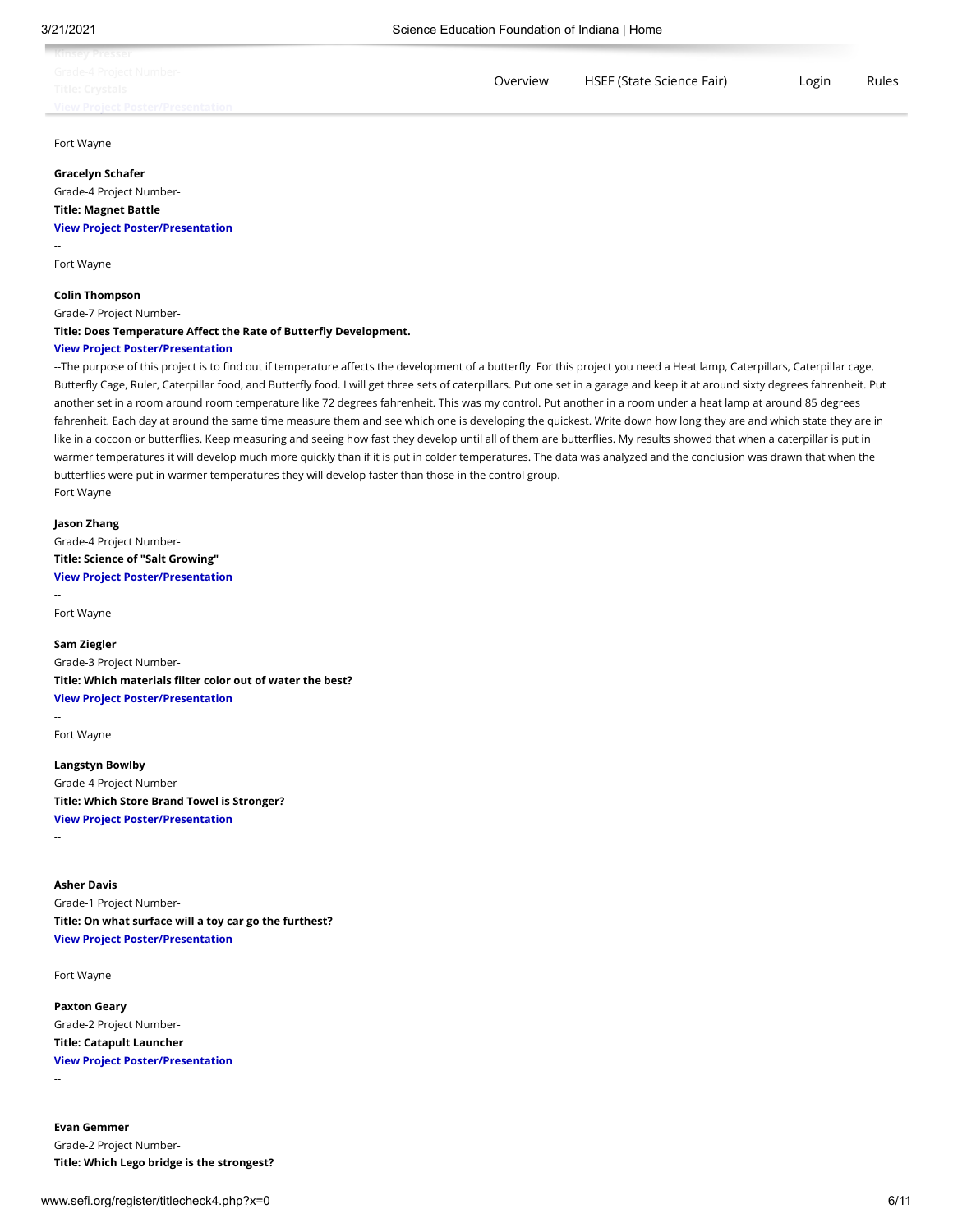| ___                                     |          |                           |       |       |
|-----------------------------------------|----------|---------------------------|-------|-------|
| <b>View Project Poster/Presentation</b> |          |                           |       |       |
| Title: Crystals                         |          |                           |       |       |
| Grade-4 Project Number-                 | Overview | HSEF (State Science Fair) | Login | Rules |
| <b>Kinsey Presser</b>                   |          |                           |       |       |

Fort Wayne

#### **Gracelyn Schafer**

Grade-4 Project Number-**Title: Magnet Battle [View Project Poster/Presentation](https://thecn.com/gs613)**

--

Fort Wayne

#### **Colin Thompson**

Grade-7 Project Number-

**Title: Does Temperature Affect the Rate of Butterfly Development.**

### **[View Project Poster/Presentation](https://thecn.com/ct1104)**

--The purpose of this project is to find out if temperature affects the development of a butterfly. For this project you need a Heat lamp, Caterpillars, Caterpillar cage, Butterfly Cage, Ruler, Caterpillar food, and Butterfly food. I will get three sets of caterpillars. Put one set in a garage and keep it at around sixty degrees fahrenheit. Put another set in a room around room temperature like 72 degrees fahrenheit. This was my control. Put another in a room under a heat lamp at around 85 degrees fahrenheit. Each day at around the same time measure them and see which one is developing the quickest. Write down how long they are and which state they are in like in a cocoon or butterflies. Keep measuring and seeing how fast they develop until all of them are butterflies. My results showed that when a caterpillar is put in warmer temperatures it will develop much more quickly than if it is put in colder temperatures. The data was analyzed and the conclusion was drawn that when the butterflies were put in warmer temperatures they will develop faster than those in the control group. Fort Wayne

#### **Jason Zhang**

Grade-4 Project Number-**Title: Science of "Salt Growing" [View Project Poster/Presentation](https://thecn.com/jz360)**

-- Fort Wayne

## **Sam Ziegler** Grade-3 Project Number-

**Title: Which materials filter color out of water the best? [View Project Poster/Presentation](https://thecn.com/sz377)**

Fort Wayne

**Langstyn Bowlby** Grade-4 Project Number-**Title: Which Store Brand Towel is Stronger? [View Project Poster/Presentation](https://thecn.com/lb1014)**

--

--

## **Asher Davis** Grade-1 Project Number-**Title: On what surface will a toy car go the furthest? [View Project Poster/Presentation](https://thecn.com/ad1625)**

-- Fort Wayne

**Paxton Geary** Grade-2 Project Number-**Title: Catapult Launcher [View Project Poster/Presentation](https://thecn.com/pg459)**

--

**Evan Gemmer** Grade-2 Project Number-**Title: Which Lego bridge is the strongest?**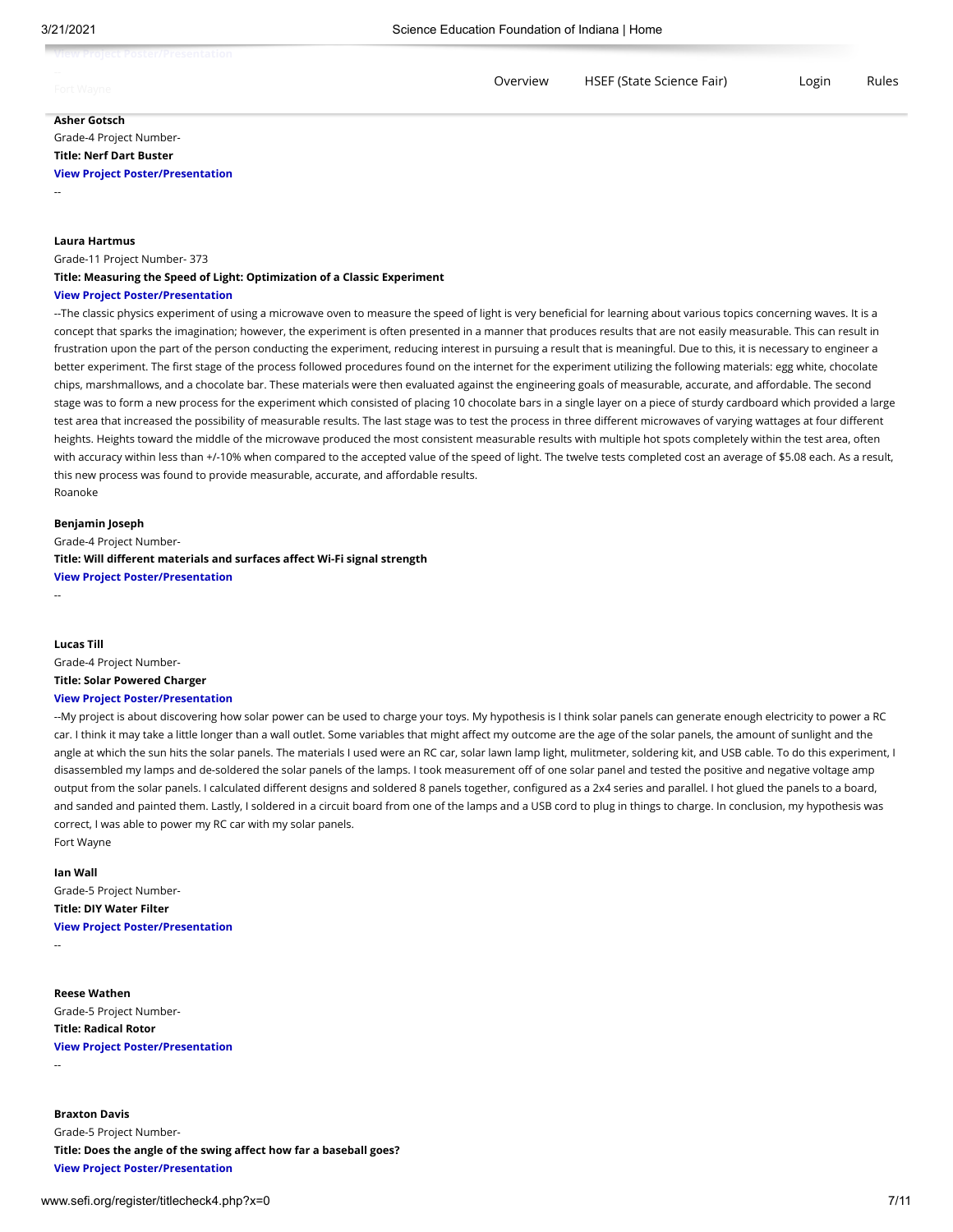| aut Brainet Backwritteacantabian<br><b>TYRCW FLURGEL FUSECI/ FLOSCHEALIUIL</b> |          |                           |       |       |
|--------------------------------------------------------------------------------|----------|---------------------------|-------|-------|
| Fort Wavne                                                                     | Overview | HSEF (State Science Fair) | Login | Rules |

## **Asher Gotsch**

Grade-4 Project Number-**Title: Nerf Dart Buster**

## **[View Project Poster/Presentation](https://thecn.com/ag1711)**

--

#### **Laura Hartmus**

Grade-11 Project Number- 373

#### **Title: Measuring the Speed of Light: Optimization of a Classic Experiment**

#### **[View Project Poster/Presentation](https://thecn.com/lh983)**

--The classic physics experiment of using a microwave oven to measure the speed of light is very beneficial for learning about various topics concerning waves. It is a concept that sparks the imagination; however, the experiment is often presented in a manner that produces results that are not easily measurable. This can result in frustration upon the part of the person conducting the experiment, reducing interest in pursuing a result that is meaningful. Due to this, it is necessary to engineer a better experiment. The first stage of the process followed procedures found on the internet for the experiment utilizing the following materials: egg white, chocolate chips, marshmallows, and a chocolate bar. These materials were then evaluated against the engineering goals of measurable, accurate, and affordable. The second stage was to form a new process for the experiment which consisted of placing 10 chocolate bars in a single layer on a piece of sturdy cardboard which provided a large test area that increased the possibility of measurable results. The last stage was to test the process in three different microwaves of varying wattages at four different heights. Heights toward the middle of the microwave produced the most consistent measurable results with multiple hot spots completely within the test area, often with accuracy within less than +/-10% when compared to the accepted value of the speed of light. The twelve tests completed cost an average of \$5.08 each. As a result, this new process was found to provide measurable, accurate, and affordable results. Roanoke

#### **Benjamin Joseph**

Grade-4 Project Number-**Title: Will different materials and surfaces affect Wi-Fi signal strength [View Project Poster/Presentation](https://thecn.com/bj326)**

--

## **Lucas Till**

Grade-4 Project Number-**Title: Solar Powered Charger [View Project Poster/Presentation](https://thecn.com/lt832)**

--My project is about discovering how solar power can be used to charge your toys. My hypothesis is I think solar panels can generate enough electricity to power a RC car. I think it may take a little longer than a wall outlet. Some variables that might affect my outcome are the age of the solar panels, the amount of sunlight and the angle at which the sun hits the solar panels. The materials I used were an RC car, solar lawn lamp light, mulitmeter, soldering kit, and USB cable. To do this experiment, I disassembled my lamps and de-soldered the solar panels of the lamps. I took measurement off of one solar panel and tested the positive and negative voltage amp output from the solar panels. I calculated different designs and soldered 8 panels together, configured as a 2x4 series and parallel. I hot glued the panels to a board, and sanded and painted them. Lastly, I soldered in a circuit board from one of the lamps and a USB cord to plug in things to charge. In conclusion, my hypothesis was correct, I was able to power my RC car with my solar panels.

Fort Wayne

#### **Ian Wall**

Grade-5 Project Number-

## **Title: DIY Water Filter [View Project Poster/Presentation](https://thecn.com/iw142)**

--

--

#### **Reese Wathen**

Grade-5 Project Number-**Title: Radical Rotor [View Project Poster/Presentation](https://thecn.com/rw619)**

#### **Braxton Davis**

Grade-5 Project Number-**Title: Does the angle of the swing affect how far a baseball goes? [View Project Poster/Presentation](https://thecn.com/bd588)**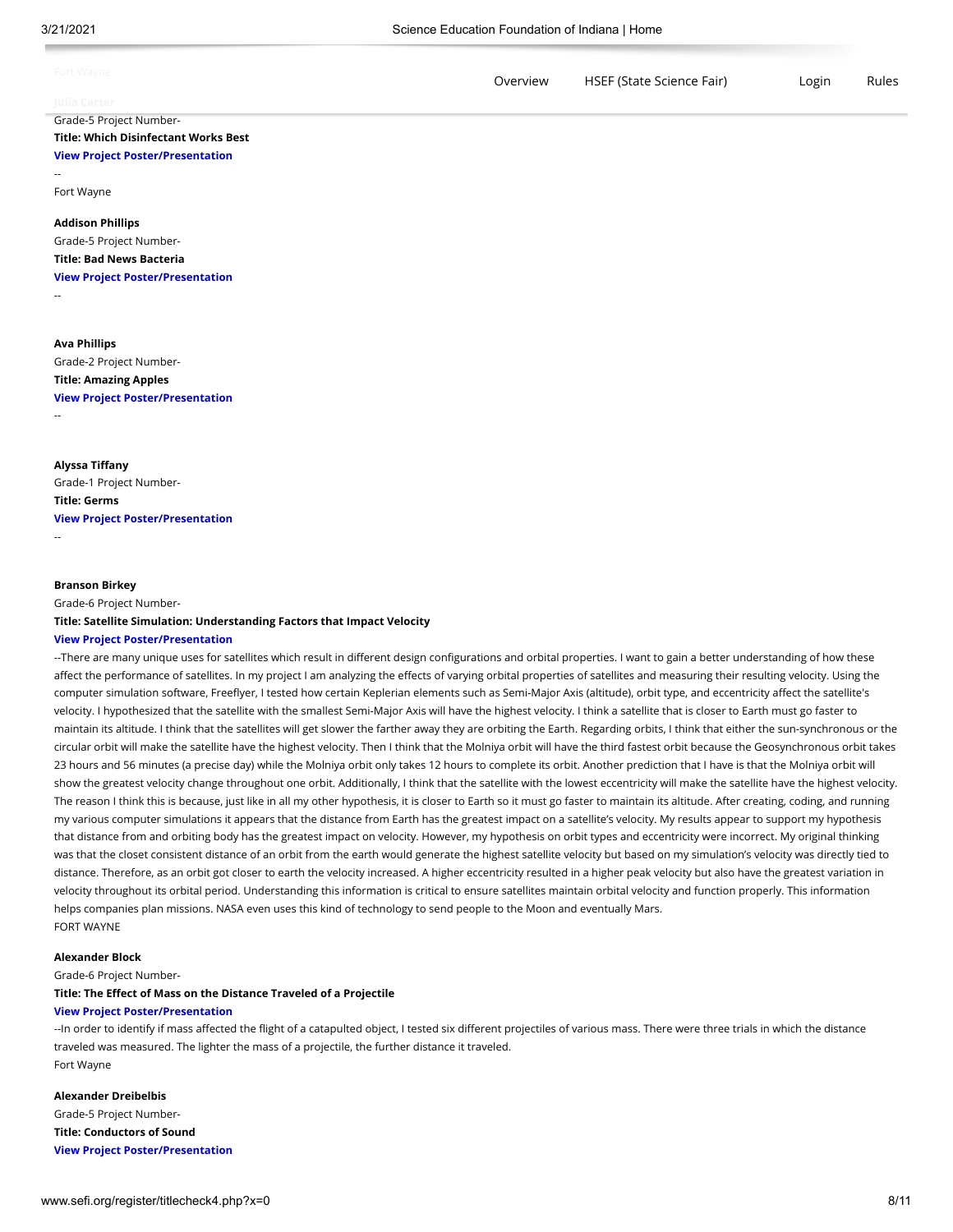| Fort Wayne   | Overview | HSEF (State Science Fair) | Login | Rules |
|--------------|----------|---------------------------|-------|-------|
| lulia Carter |          |                           |       |       |

## Grade-5 Project Number-**Title: Which Disinfectant Works Best [View Project Poster/Presentation](https://thecn.com/jc1796)**

--

Fort Wayne

#### **Addison Phillips**

Grade-5 Project Number-**Title: Bad News Bacteria**

**[View Project Poster/Presentation](https://thecn.com/ap1983)**

--

## **Ava Phillips**

Grade-2 Project Number-

**Title: Amazing Apples [View Project Poster/Presentation](https://thecn.com/ap1984)**

#### --

**Alyssa Tiffany** Grade-1 Project Number-**Title: Germs [View Project Poster/Presentation](https://thecn.com/at1420)** --

#### **Branson Birkey**

Grade-6 Project Number-**Title: Satellite Simulation: Understanding Factors that Impact Velocity**

#### **[View Project Poster/Presentation](https://thecn.com/bb1066)**

--There are many unique uses for satellites which result in different design configurations and orbital properties. I want to gain a better understanding of how these affect the performance of satellites. In my project I am analyzing the effects of varying orbital properties of satellites and measuring their resulting velocity. Using the computer simulation software, Freeflyer, I tested how certain Keplerian elements such as Semi-Major Axis (altitude), orbit type, and eccentricity affect the satellite's velocity. I hypothesized that the satellite with the smallest Semi-Major Axis will have the highest velocity. I think a satellite that is closer to Earth must go faster to maintain its altitude. I think that the satellites will get slower the farther away they are orbiting the Earth. Regarding orbits, I think that either the sun-synchronous or the circular orbit will make the satellite have the highest velocity. Then I think that the Molniya orbit will have the third fastest orbit because the Geosynchronous orbit takes 23 hours and 56 minutes (a precise day) while the Molniya orbit only takes 12 hours to complete its orbit. Another prediction that I have is that the Molniya orbit will show the greatest velocity change throughout one orbit. Additionally, I think that the satellite with the lowest eccentricity will make the satellite have the highest velocity. The reason I think this is because, just like in all my other hypothesis, it is closer to Earth so it must go faster to maintain its altitude. After creating, coding, and running my various computer simulations it appears that the distance from Earth has the greatest impact on a satellite's velocity. My results appear to support my hypothesis that distance from and orbiting body has the greatest impact on velocity. However, my hypothesis on orbit types and eccentricity were incorrect. My original thinking was that the closet consistent distance of an orbit from the earth would generate the highest satellite velocity but based on my simulation's velocity was directly tied to distance. Therefore, as an orbit got closer to earth the velocity increased. A higher eccentricity resulted in a higher peak velocity but also have the greatest variation in velocity throughout its orbital period. Understanding this information is critical to ensure satellites maintain orbital velocity and function properly. This information helps companies plan missions. NASA even uses this kind of technology to send people to the Moon and eventually Mars. FORT WAYNE

#### **Alexander Block**

Grade-6 Project Number-

#### **Title: The Effect of Mass on the Distance Traveled of a Projectile**

#### **[View Project Poster/Presentation](https://thecn.com/AB2597)**

--In order to identify if mass affected the flight of a catapulted object, I tested six different projectiles of various mass. There were three trials in which the distance traveled was measured. The lighter the mass of a projectile, the further distance it traveled. Fort Wayne

#### **Alexander Dreibelbis**

Grade-5 Project Number-**Title: Conductors of Sound [View Project Poster/Presentation](https://thecn.com/ad1626)**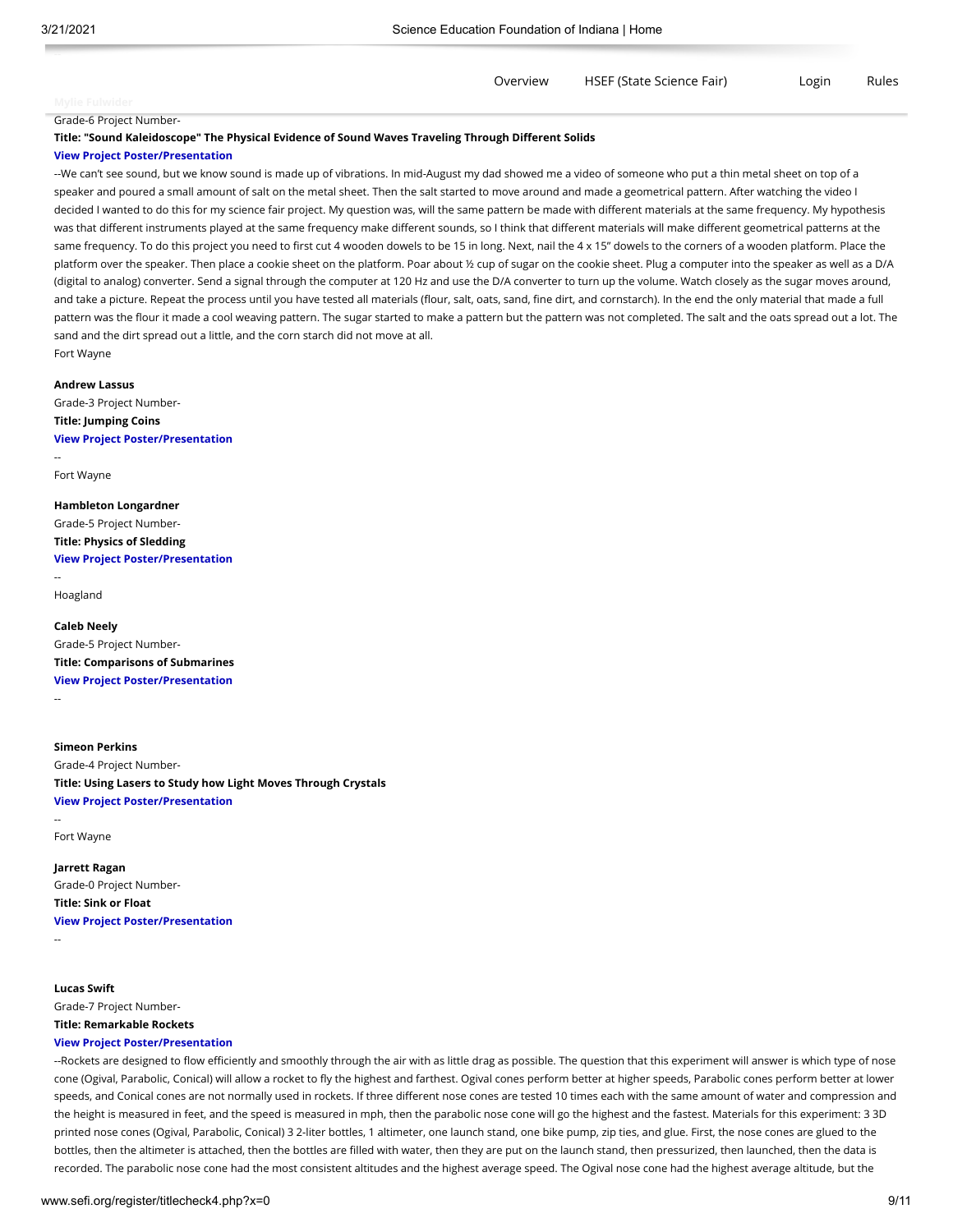[Overview](http://www.sefi.org/register/index.php) [HSEF \(State Science Fair\)](http://sefi.org/hsef) Login Rules

Grade-6 Project Number-

**Title: "Sound Kaleidoscope" The Physical Evidence of Sound Waves Traveling Through Different Solids**

#### **[View Project Poster/Presentation](https://thecn.com/mf1013)**

--We can't see sound, but we know sound is made up of vibrations. In mid-August my dad showed me a video of someone who put a thin metal sheet on top of a speaker and poured a small amount of salt on the metal sheet. Then the salt started to move around and made a geometrical pattern. After watching the video I decided I wanted to do this for my science fair project. My question was, will the same pattern be made with different materials at the same frequency. My hypothesis was that different instruments played at the same frequency make different sounds, so I think that different materials will make different geometrical patterns at the same frequency. To do this project you need to first cut 4 wooden dowels to be 15 in long. Next, nail the 4 x 15" dowels to the corners of a wooden platform. Place the platform over the speaker. Then place a cookie sheet on the platform. Poar about ½ cup of sugar on the cookie sheet. Plug a computer into the speaker as well as a D/A (digital to analog) converter. Send a signal through the computer at 120 Hz and use the D/A converter to turn up the volume. Watch closely as the sugar moves around, and take a picture. Repeat the process until you have tested all materials (flour, salt, oats, sand, fine dirt, and cornstarch). In the end the only material that made a full pattern was the flour it made a cool weaving pattern. The sugar started to make a pattern but the pattern was not completed. The salt and the oats spread out a lot. The sand and the dirt spread out a little, and the corn starch did not move at all. Fort Wayne

**Andrew Lassus** Grade-3 Project Number-**Title: Jumping Coins**

**[View Project Poster/Presentation](https://thecn.com/al1626)** --

Fort Wayne

## **Hambleton Longardner** Grade-5 Project Number-**Title: Physics of Sledding [View Project Poster/Presentation](https://thecn.com/zl377)**

-- Hoagland

**Caleb Neely** Grade-5 Project Number-**Title: Comparisons of Submarines [View Project Poster/Presentation](https://thecn.com/cn629)** --

#### **Simeon Perkins**

Grade-4 Project Number-**Title: Using Lasers to Study how Light Moves Through Crystals [View Project Poster/Presentation](https://thecn.com/sp1986)**

Fort Wayne

**Jarrett Ragan** Grade-0 Project Number-**Title: Sink or Float [View Project Poster/Presentation](https://thecn.com/jr1150)**

--

--

## **Lucas Swift**

Grade-7 Project Number-

# **Title: Remarkable Rockets**

## **[View Project Poster/Presentation](https://thecn.com/ls1301)**

--Rockets are designed to flow efficiently and smoothly through the air with as little drag as possible. The question that this experiment will answer is which type of nose cone (Ogival, Parabolic, Conical) will allow a rocket to fly the highest and farthest. Ogival cones perform better at higher speeds, Parabolic cones perform better at lower speeds, and Conical cones are not normally used in rockets. If three different nose cones are tested 10 times each with the same amount of water and compression and the height is measured in feet, and the speed is measured in mph, then the parabolic nose cone will go the highest and the fastest. Materials for this experiment: 3 3D printed nose cones (Ogival, Parabolic, Conical) 3 2-liter bottles, 1 altimeter, one launch stand, one bike pump, zip ties, and glue. First, the nose cones are glued to the bottles, then the altimeter is attached, then the bottles are filled with water, then they are put on the launch stand, then pressurized, then launched, then the data is recorded. The parabolic nose cone had the most consistent altitudes and the highest average speed. The Ogival nose cone had the highest average altitude, but the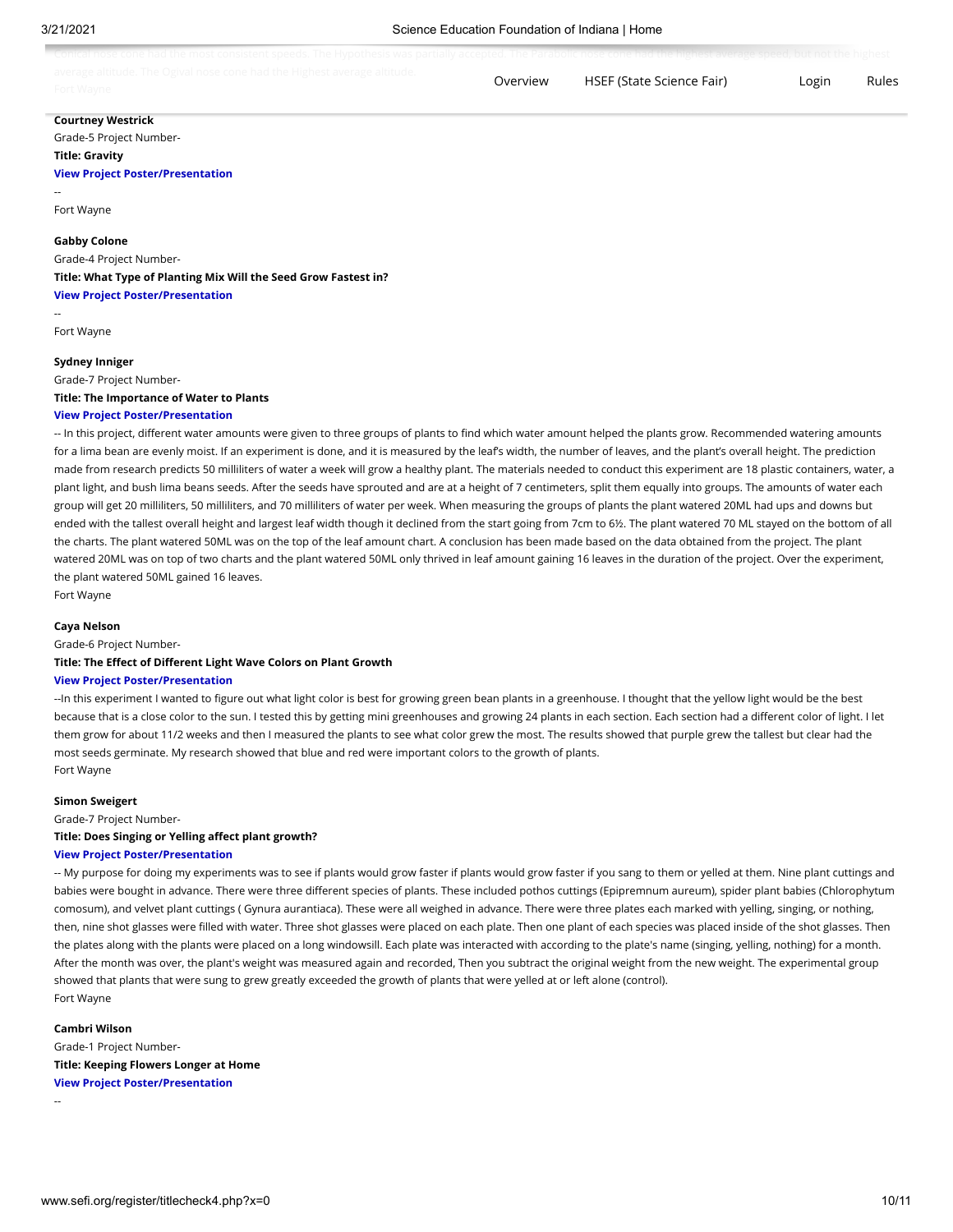| Canical noon cano had the most complement weeder The Uncettering weekly una weekely accepted The Developing none and the higher the norman annual but wet the high cat<br>"כטחונמו חטסכ נטחכ חמט נחכ חוטסנ נטחסוסונו סטככנס. דחכ חץטטחכסוס שמס טמחמות מנגטענטה חזט רמומטיוני ווטסט גטיוט יומי מושימי מישי ומיטויטי שטשטע משטעק וואס האחישה ווא חוג חוג |          | and the contract of the contract of the contract of the contract of the contract of the contract of the contract of |       |       |
|--------------------------------------------------------------------------------------------------------------------------------------------------------------------------------------------------------------------------------------------------------------------------------------------------------------------------------------------------------|----------|---------------------------------------------------------------------------------------------------------------------|-------|-------|
| average altitude. The Ogival ness sens had the Highest average altitude.<br><u>- Avelare aitituue. The Urival IIUJe tulie Hau the Hirilejt avelare aitituue.</u><br>Fort Wavne                                                                                                                                                                         | Overview | HSEF (State Science Fair)                                                                                           | Login | Rules |

## **Courtney Westrick**

Grade-5 Project Number-**Title: Gravity**

## **[View Project Poster/Presentation](https://thecn.com/cw1190)**

--

#### Fort Wayne

**Gabby Colone**

Grade-4 Project Number-

**Title: What Type of Planting Mix Will the Seed Grow Fastest in? [View Project Poster/Presentation](https://thecn.com/gc444)**

Fort Wayne

--

#### **Sydney Inniger**

Grade-7 Project Number-**Title: The Importance of Water to Plants [View Project Poster/Presentation](https://thecn.com/si445)**

-- In this project, different water amounts were given to three groups of plants to find which water amount helped the plants grow. Recommended watering amounts for a lima bean are evenly moist. If an experiment is done, and it is measured by the leaf's width, the number of leaves, and the plant's overall height. The prediction made from research predicts 50 milliliters of water a week will grow a healthy plant. The materials needed to conduct this experiment are 18 plastic containers, water, a plant light, and bush lima beans seeds. After the seeds have sprouted and are at a height of 7 centimeters, split them equally into groups. The amounts of water each group will get 20 milliliters, 50 milliliters, and 70 milliliters of water per week. When measuring the groups of plants the plant watered 20ML had ups and downs but ended with the tallest overall height and largest leaf width though it declined from the start going from 7cm to 6½. The plant watered 70 ML stayed on the bottom of all the charts. The plant watered 50ML was on the top of the leaf amount chart. A conclusion has been made based on the data obtained from the project. The plant watered 20ML was on top of two charts and the plant watered 50ML only thrived in leaf amount gaining 16 leaves in the duration of the project. Over the experiment, the plant watered 50ML gained 16 leaves.

Fort Wayne

#### **Caya Nelson**

Grade-6 Project Number-

## **Title: The Effect of Different Light Wave Colors on Plant Growth**

#### **[View Project Poster/Presentation](https://thecn.com/cn625)**

--In this experiment I wanted to figure out what light color is best for growing green bean plants in a greenhouse. I thought that the yellow light would be the best because that is a close color to the sun. I tested this by getting mini greenhouses and growing 24 plants in each section. Each section had a different color of light. I let them grow for about 11/2 weeks and then I measured the plants to see what color grew the most. The results showed that purple grew the tallest but clear had the most seeds germinate. My research showed that blue and red were important colors to the growth of plants. Fort Wayne

#### **Simon Sweigert**

Grade-7 Project Number-

#### **Title: Does Singing or Yelling affect plant growth?**

#### **[View Project Poster/Presentation](https://thecn.com/ss4138)**

-- My purpose for doing my experiments was to see if plants would grow faster if plants would grow faster if you sang to them or yelled at them. Nine plant cuttings and babies were bought in advance. There were three different species of plants. These included pothos cuttings (Epipremnum aureum), spider plant babies (Chlorophytum comosum), and velvet plant cuttings ( Gynura aurantiaca). These were all weighed in advance. There were three plates each marked with yelling, singing, or nothing, then, nine shot glasses were filled with water. Three shot glasses were placed on each plate. Then one plant of each species was placed inside of the shot glasses. Then the plates along with the plants were placed on a long windowsill. Each plate was interacted with according to the plate's name (singing, yelling, nothing) for a month. After the month was over, the plant's weight was measured again and recorded, Then you subtract the original weight from the new weight. The experimental group showed that plants that were sung to grew greatly exceeded the growth of plants that were yelled at or left alone (control). Fort Wayne

**Cambri Wilson** Grade-1 Project Number-**Title: Keeping Flowers Longer at Home [View Project Poster/Presentation](https://thecn.com/cw1194)**

--